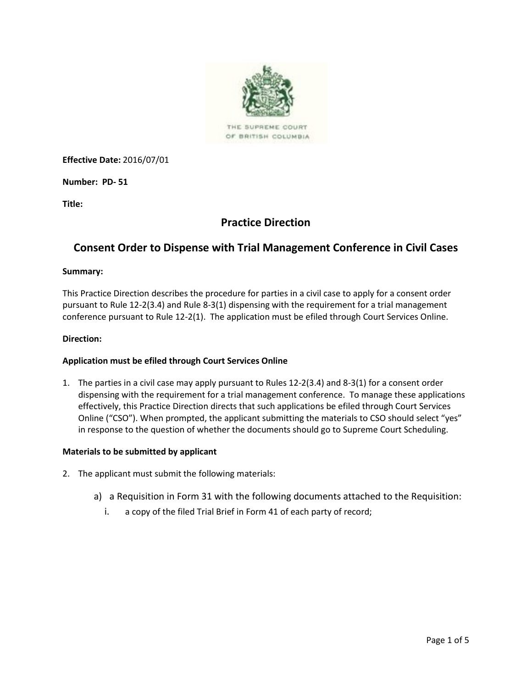

OF BRITISH COLUMBIA

**Effective Date:** 2016/07/01

**Number: PD- 51**

**Title:**

# **Practice Direction**

# **Consent Order to Dispense with Trial Management Conference in Civil Cases**

#### **Summary:**

This Practice Direction describes the procedure for parties in a civil case to apply for a consent order pursuant to Rule 12-2(3.4) and Rule 8-3(1) dispensing with the requirement for a trial management conference pursuant to Rule 12-2(1). The application must be efiled through Court Services Online.

#### **Direction:**

### **Application must be efiled through Court Services Online**

1. The parties in a civil case may apply pursuant to Rules 12-2(3.4) and 8-3(1) for a consent order dispensing with the requirement for a trial management conference. To manage these applications effectively, this Practice Direction directs that such applications be efiled through Court Services Online ("CSO"). When prompted, the applicant submitting the materials to CSO should select "yes" in response to the question of whether the documents should go to Supreme Court Scheduling.

#### **Materials to be submitted by applicant**

- 2. The applicant must submit the following materials:
	- a) a Requisition in Form 31 with the following documents attached to the Requisition:
		- i. a copy of the filed Trial Brief in Form 41 of each party of record;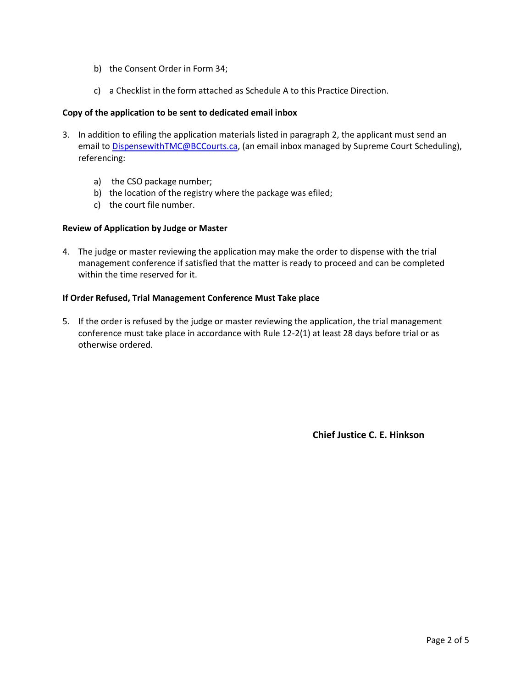- b) the Consent Order in Form 34;
- c) a Checklist in the form attached as Schedule A to this Practice Direction.

### **Copy of the application to be sent to dedicated email inbox**

- 3. In addition to efiling the application materials listed in paragraph 2, the applicant must send an email to [DispensewithTMC@BCCourts.ca,](mailto:DispensewithTMC@BCCourts.ca) (an email inbox managed by Supreme Court Scheduling), referencing:
	- a) the CSO package number;
	- b) the location of the registry where the package was efiled;
	- c) the court file number.

### **Review of Application by Judge or Master**

4. The judge or master reviewing the application may make the order to dispense with the trial management conference if satisfied that the matter is ready to proceed and can be completed within the time reserved for it.

### **If Order Refused, Trial Management Conference Must Take place**

5. If the order is refused by the judge or master reviewing the application, the trial management conference must take place in accordance with Rule 12-2(1) at least 28 days before trial or as otherwise ordered.

**Chief Justice C. E. Hinkson**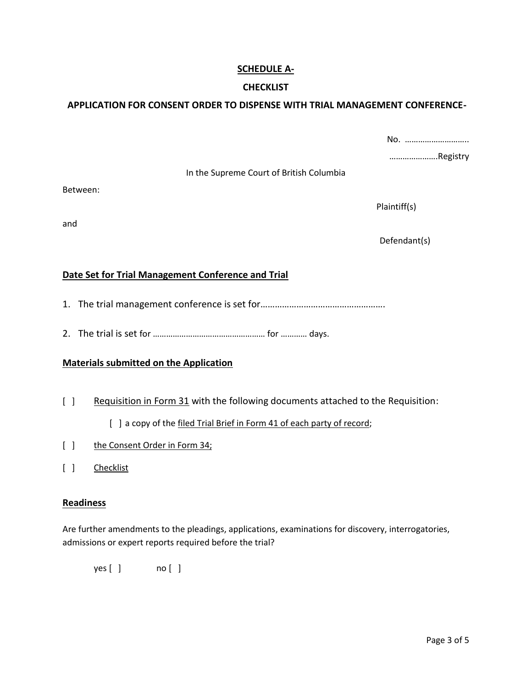# **SCHEDULE A-**

### **CHECKLIST**

# **APPLICATION FOR CONSENT ORDER TO DISPENSE WITH TRIAL MANAGEMENT CONFERENCE-**

|   |                                          | No.          |
|---|------------------------------------------|--------------|
|   | In the Supreme Court of British Columbia | Registry     |
|   |                                          | Plaintiff(s) |
|   |                                          | Defendant(s) |
| - | .<br>.                                   |              |

# **Date Set for Trial Management Conference and Trial**

- 1. The trial management conference is set for…………………………………………….
- 2. The trial is set for …………………………………………… for ………… days.

### **Materials submitted on the Application**

[ ] Requisition in Form 31 with the following documents attached to the Requisition:

### [ ] a copy of the filed Trial Brief in Form 41 of each party of record;

- [ ] the Consent Order in Form 34;
- [ ] Checklist

#### **Readiness**

Between:

and

Are further amendments to the pleadings, applications, examinations for discovery, interrogatories, admissions or expert reports required before the trial?

yes [ ] no [ ]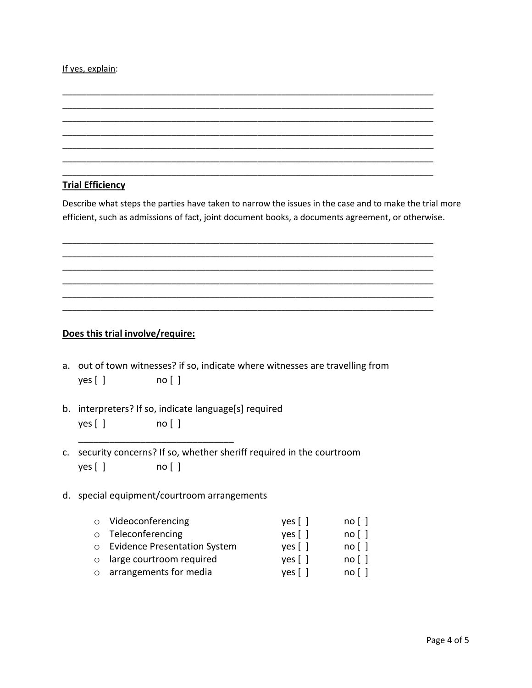#### If yes, explain:

## **Trial Efficiency**

Describe what steps the parties have taken to narrow the issues in the case and to make the trial more efficient, such as admissions of fact, joint document books, a documents agreement, or otherwise.

\_\_\_\_\_\_\_\_\_\_\_\_\_\_\_\_\_\_\_\_\_\_\_\_\_\_\_\_\_\_\_\_\_\_\_\_\_\_\_\_\_\_\_\_\_\_\_\_\_\_\_\_\_\_\_\_\_\_\_\_\_\_\_\_\_\_\_\_\_\_\_\_\_\_\_\_\_\_ \_\_\_\_\_\_\_\_\_\_\_\_\_\_\_\_\_\_\_\_\_\_\_\_\_\_\_\_\_\_\_\_\_\_\_\_\_\_\_\_\_\_\_\_\_\_\_\_\_\_\_\_\_\_\_\_\_\_\_\_\_\_\_\_\_\_\_\_\_\_\_\_\_\_\_\_\_\_ \_\_\_\_\_\_\_\_\_\_\_\_\_\_\_\_\_\_\_\_\_\_\_\_\_\_\_\_\_\_\_\_\_\_\_\_\_\_\_\_\_\_\_\_\_\_\_\_\_\_\_\_\_\_\_\_\_\_\_\_\_\_\_\_\_\_\_\_\_\_\_\_\_\_\_\_\_\_ \_\_\_\_\_\_\_\_\_\_\_\_\_\_\_\_\_\_\_\_\_\_\_\_\_\_\_\_\_\_\_\_\_\_\_\_\_\_\_\_\_\_\_\_\_\_\_\_\_\_\_\_\_\_\_\_\_\_\_\_\_\_\_\_\_\_\_\_\_\_\_\_\_\_\_\_\_\_ \_\_\_\_\_\_\_\_\_\_\_\_\_\_\_\_\_\_\_\_\_\_\_\_\_\_\_\_\_\_\_\_\_\_\_\_\_\_\_\_\_\_\_\_\_\_\_\_\_\_\_\_\_\_\_\_\_\_\_\_\_\_\_\_\_\_\_\_\_\_\_\_\_\_\_\_\_\_ \_\_\_\_\_\_\_\_\_\_\_\_\_\_\_\_\_\_\_\_\_\_\_\_\_\_\_\_\_\_\_\_\_\_\_\_\_\_\_\_\_\_\_\_\_\_\_\_\_\_\_\_\_\_\_\_\_\_\_\_\_\_\_\_\_\_\_\_\_\_\_\_\_\_\_\_\_\_

\_\_\_\_\_\_\_\_\_\_\_\_\_\_\_\_\_\_\_\_\_\_\_\_\_\_\_\_\_\_\_\_\_\_\_\_\_\_\_\_\_\_\_\_\_\_\_\_\_\_\_\_\_\_\_\_\_\_\_\_\_\_\_\_\_\_\_\_\_\_\_\_\_\_\_\_\_\_ \_\_\_\_\_\_\_\_\_\_\_\_\_\_\_\_\_\_\_\_\_\_\_\_\_\_\_\_\_\_\_\_\_\_\_\_\_\_\_\_\_\_\_\_\_\_\_\_\_\_\_\_\_\_\_\_\_\_\_\_\_\_\_\_\_\_\_\_\_\_\_\_\_\_\_\_\_\_ \_\_\_\_\_\_\_\_\_\_\_\_\_\_\_\_\_\_\_\_\_\_\_\_\_\_\_\_\_\_\_\_\_\_\_\_\_\_\_\_\_\_\_\_\_\_\_\_\_\_\_\_\_\_\_\_\_\_\_\_\_\_\_\_\_\_\_\_\_\_\_\_\_\_\_\_\_\_ \_\_\_\_\_\_\_\_\_\_\_\_\_\_\_\_\_\_\_\_\_\_\_\_\_\_\_\_\_\_\_\_\_\_\_\_\_\_\_\_\_\_\_\_\_\_\_\_\_\_\_\_\_\_\_\_\_\_\_\_\_\_\_\_\_\_\_\_\_\_\_\_\_\_\_\_\_\_ \_\_\_\_\_\_\_\_\_\_\_\_\_\_\_\_\_\_\_\_\_\_\_\_\_\_\_\_\_\_\_\_\_\_\_\_\_\_\_\_\_\_\_\_\_\_\_\_\_\_\_\_\_\_\_\_\_\_\_\_\_\_\_\_\_\_\_\_\_\_\_\_\_\_\_\_\_\_ \_\_\_\_\_\_\_\_\_\_\_\_\_\_\_\_\_\_\_\_\_\_\_\_\_\_\_\_\_\_\_\_\_\_\_\_\_\_\_\_\_\_\_\_\_\_\_\_\_\_\_\_\_\_\_\_\_\_\_\_\_\_\_\_\_\_\_\_\_\_\_\_\_\_\_\_\_\_ \_\_\_\_\_\_\_\_\_\_\_\_\_\_\_\_\_\_\_\_\_\_\_\_\_\_\_\_\_\_\_\_\_\_\_\_\_\_\_\_\_\_\_\_\_\_\_\_\_\_\_\_\_\_\_\_\_\_\_\_\_\_\_\_\_\_\_\_\_\_\_\_\_\_\_\_\_\_

### **Does this trial involve/require:**

- a. out of town witnesses? if so, indicate where witnesses are travelling from yes [ ] no [ ]
- b. interpreters? If so, indicate language[s] required yes [ ] no [ ]
- c. security concerns? If so, whether sheriff required in the courtroom yes [ ] no [ ]

## d. special equipment/courtroom arrangements

\_\_\_\_\_\_\_\_\_\_\_\_\_\_\_\_\_\_\_\_\_\_\_\_\_\_\_\_\_\_

| o Videoconferencing              | yes [ ] | no [ ] |
|----------------------------------|---------|--------|
| o Teleconferencing               | yes [ ] | no[]   |
| o Evidence Presentation System   | yes [ ] | no [ ] |
| $\circ$ large courtroom required | yes [ ] | no[]   |
| $\circ$ arrangements for media   | $yes$   | no[]   |